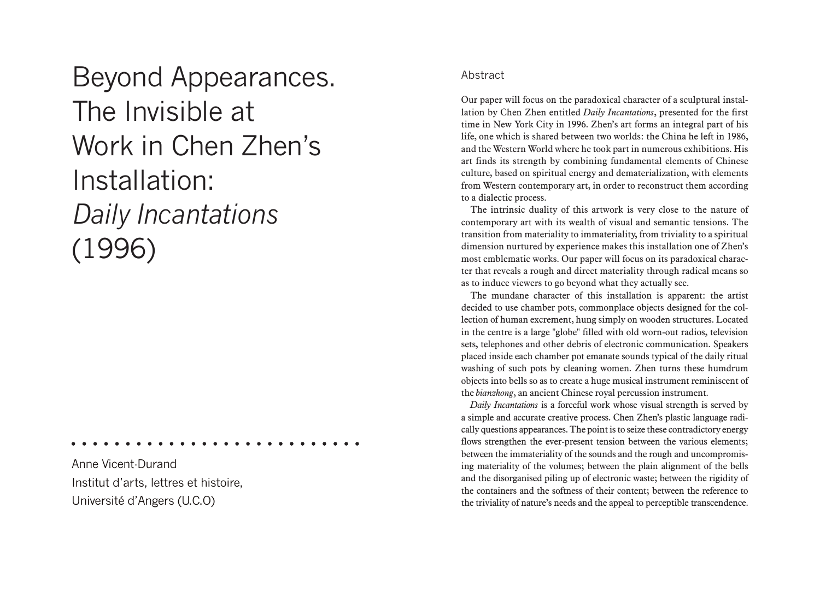Beyond Appearances. The Invisible at Work in Chen Zhen's Installation: *Daily Incantations* (1996)

Anne Vicent-Durand Institut d'arts, lettres et histoire, Université d'Angers (U.C.O)

## Abstract

Our paper will focus on the paradoxical character of a sculptural installation by Chen Zhen entitled *Daily Incantations*, presented for the first time in New York City in 1996. Zhen's art forms an integral part of his life, one which is shared between two worlds: the China he left in 1986, and the Western World where he took part in numerous exhibitions. His art finds its strength by combining fundamental elements of Chinese culture, based on spiritual energy and dematerialization, with elements from Western contemporary art, in order to reconstruct them according to a dialectic process.

The intrinsic duality of this artwork is very close to the nature of contemporary art with its wealth of visual and semantic tensions. The transition from materiality to immateriality, from triviality to a spiritual dimension nurtured by experience makes this installation one of Zhen's most emblematic works. Our paper will focus on its paradoxical character that reveals a rough and direct materiality through radical means so as to induce viewers to go beyond what they actually see.

The mundane character of this installation is apparent: the artist decided to use chamber pots, commonplace objects designed for the collection of human excrement, hung simply on wooden structures. Located in the centre is a large "globe" filled with old worn-out radios, television sets, telephones and other debris of electronic communication. Speakers placed inside each chamber pot emanate sounds typical of the daily ritual washing of such pots by cleaning women. Zhen turns these humdrum objects into bells so as to create a huge musical instrument reminiscent of the *bianzhong*, an ancient Chinese royal percussion instrument.

*Daily Incantations* is a forceful work whose visual strength is served by a simple and accurate creative process. Chen Zhen's plastic language radically questions appearances. The point is to seize these contradictory energy flows strengthen the ever-present tension between the various elements; between the immateriality of the sounds and the rough and uncompromising materiality of the volumes; between the plain alignment of the bells and the disorganised piling up of electronic waste; between the rigidity of the containers and the softness of their content; between the reference to the triviality of nature's needs and the appeal to perceptible transcendence.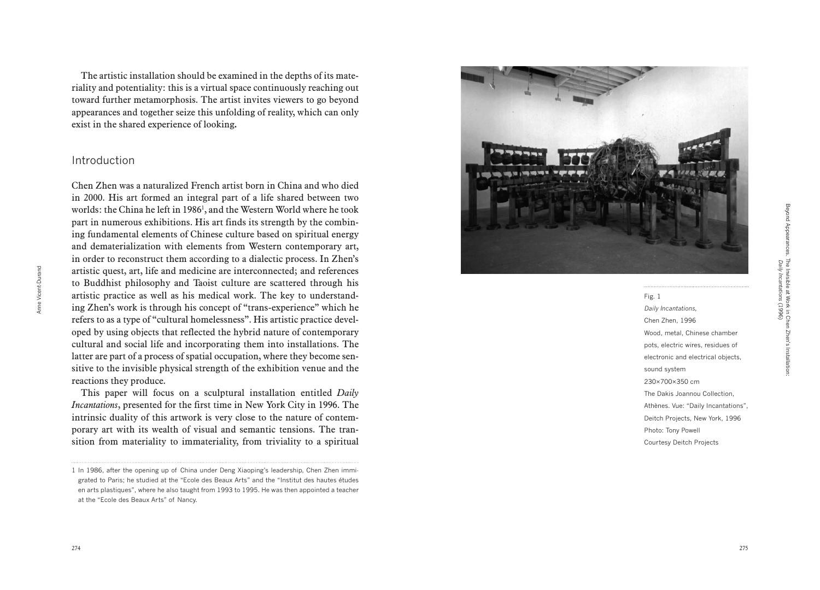Fig. 1 *Daily Incantations,* Chen Zhen, 1996 Wood, metal, Chinese chamber pots, electric wires, residues of electronic and electrical objects, sound system 230×700×350 cm The Dakis Joannou Collection, Athènes. Vue: "Daily Incantations", Deitch Projects, New York, 1996 Photo: Tony Powell Courtesy Deitch Projects

The artistic installation should be examined in the depths of its mate riality and potentiality: this is a virtual space continuously reaching out toward further metamorphosis. The artist invites viewers to go beyond appearances and together seize this unfolding of reality, which can only exist in the shared experience of looking **.**

## Introduction

Chen Zhen was a naturalized French artist born in China and who died in 2000. His art formed an integral part of a life shared between two worlds: the China he left in 1986 1 , and the Western World where he took part in numerous exhibitions. His art finds its strength by the combin ing fundamental elements of Chinese culture based on spiritual energy and dematerialization with elements from Western contemporary art, in order to reconstruct them according to a dialectic process. In Zhen's artistic quest, art, life and medicine are interconnected; and references to Buddhist philosophy and Taoist culture are scattered through his artistic practice as well as his medical work. The key to understand ing Zhen's work is through his concept of "trans-experience" which he refers to as a type of "cultural homelessness". His artistic practice devel oped by using objects that reflected the hybrid nature of contemporary cultural and social life and incorporating them into installations. The latter are part of a process of spatial occupation, where they become sen sitive to the invisible physical strength of the exhibition venue and the reactions they produce.

This paper will focus on a sculptural installation entitled *Daily Incantations*, presented for the first time in New York City in 1996. The intrinsic duality of this artwork is very close to the nature of contem porary art with its wealth of visual and semantic tensions. The tran sition from materiality to immateriality, from triviality to a spiritual

1 In 1986, after the opening up of China under Deng Xiaoping's leadership, Chen Zhen immigrated to Paris; he studied at the "Ecole des Beaux Arts" and the "Institut des hautes études en arts plastiques", where he also taught from 1993 to 1995. He was then appointed a teacher at the "Ecole des Beaux Arts" of Nancy.

Anne Vicent-Durand

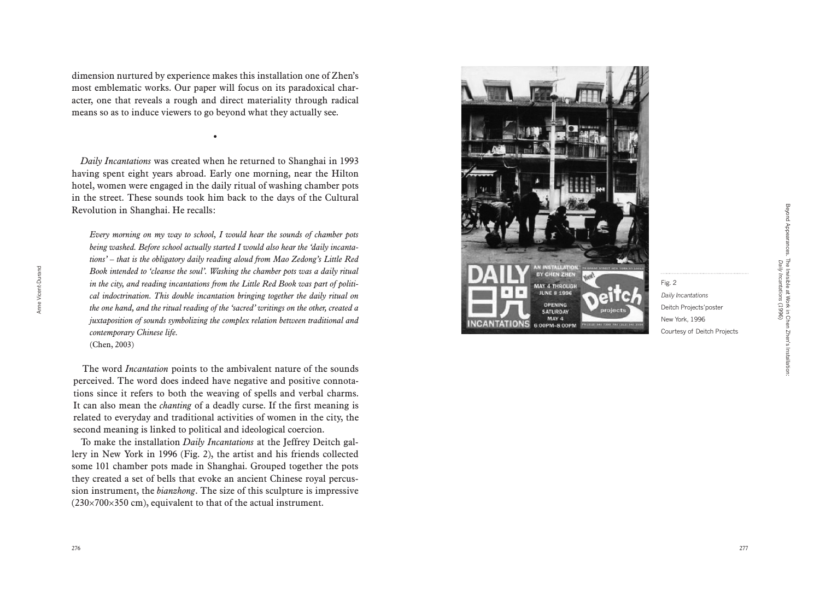dimension nurtured by experience makes this installation one of Zhen's most emblematic works. Our paper will focus on its paradoxical char acter, one that reveals a rough and direct materiality through radical means so as to induce viewers to go beyond what they actually see.

•

*Daily Incantations* was created when he returned to Shanghai in 1993 having spent eight years abroad. Early one morning, near the Hilton hotel, women were engaged in the daily ritual of washing chamber pots in the street. These sounds took him back to the days of the Cultural Revolution in Shanghai. He recalls:

*Every morning on my way to school, I would hear the sounds of chamber pots being washed. Before school actually started I would also hear the 'daily incanta tions' – that is the obligatory daily reading aloud from Mao Zedong's Little Red Book intended to 'cleanse the soul'. Washing the chamber pots was a daily ritual in the city, and reading incantations from the Little Red Book was part of politi cal indoctrination. This double incantation bringing together the daily ritual on the one hand, and the ritual reading of the 'sacred' writings on the other, created a juxtaposition of sounds symbolizing the complex relation between traditional and contemporary Chinese life.*

(Chen, 2003)

Anne Vicent-Durand

Anne<sup>1</sup>

Vicent-Durand

The word *Incantation* points to the ambivalent nature of the sounds perceived. The word does indeed have negative and positive connota tions since it refers to both the weaving of spells and verbal charms. It can also mean the *chanting* of a deadly curse. If the first meaning is related to everyday and traditional activities of women in the city, the second meaning is linked to political and ideological coercion.

To make the installation *Daily Incantations* at the Jeffrey Deitch gal lery in New York in 1996 (Fig. 2), the artist and his friends collected some 101 chamber pots made in Shanghai. Grouped together the pots they created a set of bells that evoke an ancient Chinese royal percus sion instrument, the *bianzhong*. The size of this sculpture is impressive  $(230\times700\times350$  cm), equivalent to that of the actual instrument.



Fig. 2

*Daily Incantations* Deitch Projects'poster New York, 1996

Courtesy of Deitch Projects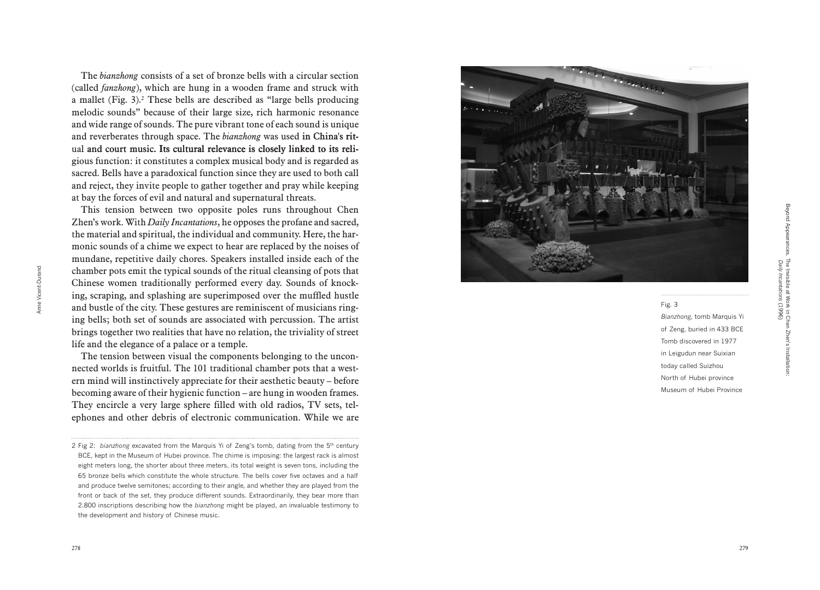The *bianzhong* consists of a set of bronze bells with a circular section (called *fanzhong*), which are hung in a wooden frame and struck with a mallet (Fig. 3). 2 These bells are described as "large bells producing melodic sounds" because of their large size, rich harmonic resonance and wide range of sounds. The pure vibrant tone of each sound is unique and reverberates through space. The *bianzhong* was used in China's rit-� ual and court music. Its cultural relevance is closely linked to its reli gious function: it constitutes a complex musical body and is regarded as sacred. Bells have a paradoxical function since they are used to both call and reject, they invite people to gather together and pray while keeping at bay the forces of evil and natural and supernatural threats.

This tension between two opposite poles runs throughout Chen Zhen's work. With *Daily Incantations*, he opposes the profane and sacred, the material and spiritual, the individual and community. Here, the har monic sounds of a chime we expect to hear are replaced by the noises of mundane, repetitive daily chores. Speakers installed inside each of the chamber pots emit the typical sounds of the ritual cleansing of pots that Chinese women traditionally performed every day. Sounds of knock ing, scraping, and splashing are superimposed over the muffled hustle and bustle of the city. These gestures are reminiscent of musicians ring ing bells; both set of sounds are associated with percussion. The artist brings together two realities that have no relation, the triviality of street life and the elegance of a palace or a temple.

The tension between visual the components belonging to the unconnected worlds is fruitful. The 101 traditional chamber pots that a west ern mind will instinctively appreciate for their aesthetic beauty – before becoming aware of their hygienic function – are hung in wooden frames. They encircle a very large sphere filled with old radios, TV sets, tel ephones and other debris of electronic communication. While we are



Fig. 3 *Bianzhong,* tomb Marquis Yi of Zeng, buried in 433 BCE Tomb discovered in 1977 in Leigudun near Suixian today called Suizhou North of Hubei province Museum of Hubei Province

<sup>2</sup> Fig 2: *bianzhong* excavated from the Marquis Yi of Zeng's tomb, dating from the 5th century BCE, kept in the Museum of Hubei province. The chime is imposing: the largest rack is almost eight meters long, the shorter about three meters, its total weight is seven tons, including the 65 bronze bells which constitute the whole structure. The bells cover five octaves and a half and produce twelve semitones; according to their angle, and whether they are played from the front or back of the set, they produce different sounds. Extraordinarily, they bear more than 2.800 inscriptions describing how the *bianzhong* might be played, an invaluable testimony to the development and history of Chinese music.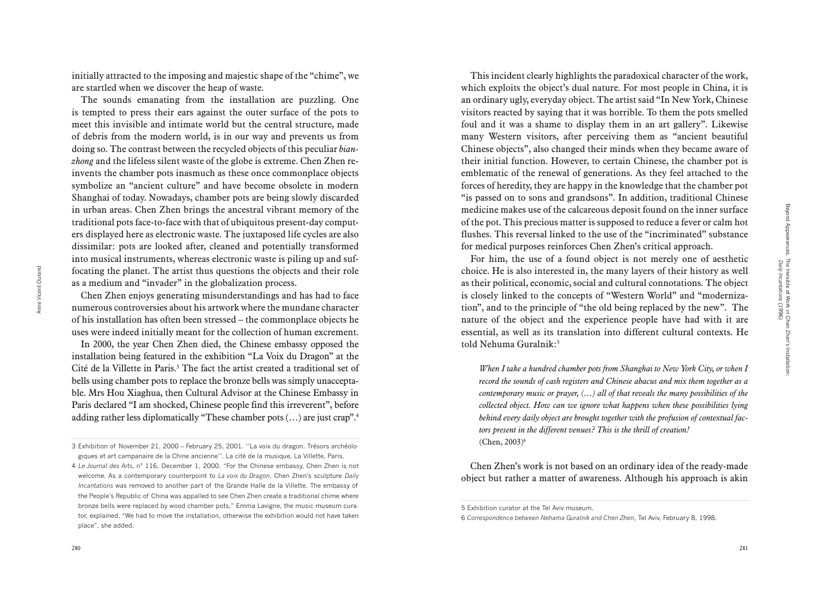initially attracted to the imposing and majestic shape of the "chime", we are startled when we discover the heap of waste.

The sounds emanating from the installation are puzzling. One is tempted to press their ears against the outer surface of the pots to meet this invisible and intimate world but the central structure, made of debris from the modern world, is in our way and prevents us from doing so. The contrast between the recycled objects of this peculiar *bian zhong* and the lifeless silent waste of the globe is extreme. Chen Zhen reinvents the chamber pots inasmuch as these once commonplace objects symbolize an "ancient culture" and have become obsolete in modern Shanghai of today. Nowadays, chamber pots are being slowly discarded in urban areas. Chen Zhen brings the ancestral vibrant memory of the traditional pots face-to-face with that of ubiquitous present-day comput ers displayed here as electronic waste. The juxtaposed life cycles are also dissimilar: pots are looked after, cleaned and potentially transformed into musical instruments, whereas electronic waste is piling up and suffocating the planet. The artist thus questions the objects and their role as a medium and "invader" in the globalization process.

Chen Zhen enjoys generating misunderstandings and has had to face numerous controversies about his artwork where the mundane character of his installation has often been stressed – the commonplace objects he uses were indeed initially meant for the collection of human excrement.

In 2000, the year Chen Zhen died, the Chinese embassy opposed the installation being featured in the exhibition "La Voix du Dragon" at the Cité de la Villette in Paris. 3 The fact the artist created a traditional set of bells using chamber pots to replace the bronze bells was simply unaccepta ble. Mrs Hou Xiaghua, then Cultural Advisor at the Chinese Embassy in Paris declared "I am shocked, Chinese people find this irreverent", before adding rather less diplomatically "These chamber pots (...) are just crap".4

This incident clearly highlights the paradoxical character of the work, which exploits the object's dual nature. For most people in China, it is an ordinary ugly, everyday object. The artist said "In New York, Chinese visitors reacted by saying that it was horrible. To them the pots smelled foul and it was a shame to display them in an art gallery". Likewise many Western visitors, after perceiving them as "ancient beautiful Chinese objects", also changed their minds when they became aware of their initial function. However, to certain Chinese, the chamber pot is emblematic of the renewal of generations. As they feel attached to the forces of heredity, they are happy in the knowledge that the chamber pot "is passed on to sons and grandsons". In addition, traditional Chinese medicine makes use of the calcareous deposit found on the inner surface of the pot. This precious matter is supposed to reduce a fever or calm hot flushes. This reversal linked to the use of the "incriminated" substance for medical purposes reinforces Chen Zhen's critical approach.

For him, the use of a found object is not merely one of aesthetic choice. He is also interested in, the many layers of their history as well as their political, economic, social and cultural connotations. The object is closely linked to the concepts of "Western World" and "moderniza tion", and to the principle of "the old being replaced by the new". The nature of the object and the experience people have had with it are essential, as well as its translation into different cultural contexts. He told Nehuma Guralnik: 5

*When I take a hundred chamber pots from Shanghai to New York City, or when I record the sounds of cash registers and Chinese abacus and mix them together as a contemporary music or prayer, (…) all of that reveals the many possibilities of the collected object. How can we ignore what happens when these possibilities lying behind every daily object are brought together with the profusion of contextual fac tors present in the different venues? This is the thrill of creation!* (Chen, 2003) 6

Chen Zhen's work is not based on an ordinary idea of the ready-made object but rather a matter of awareness. Although his approach is akin

6 *Correspondence between Nehama Guralnik and Chen Zhen*, Tel Aviv, February 8, 1998.

Anne Vicent-Durand

<sup>3</sup> Exhibition of November 21, 2000 – February 25, 2001. ''La voix du dragon. Trésors archéolo giques et art campanaire de la Chine ancienne''. La cité de la musique, La Villette, Paris.

<sup>4</sup> *Le Journal des Arts,* n° 116, December 1, 2000. "For the Chinese embassy, Chen Zhen is not welcome. As a contemporary counterpoint to *La voix du Dragon*, Chen Zhen 's sculpture *Daily Incantations* was removed to another part of the Grande Halle de la Villette *.* The embassy of the People 's Republic of China was appalled to see Chen Zhen create a traditional chime where bronze bells were replaced by wood chamber pots," Emma Lavigne, the music museum cura tor, explained. "We had to move the installation, otherwise the exhibition would not have taken place", she added.

<sup>5</sup> Exhibition curator at the Tel Aviv museum.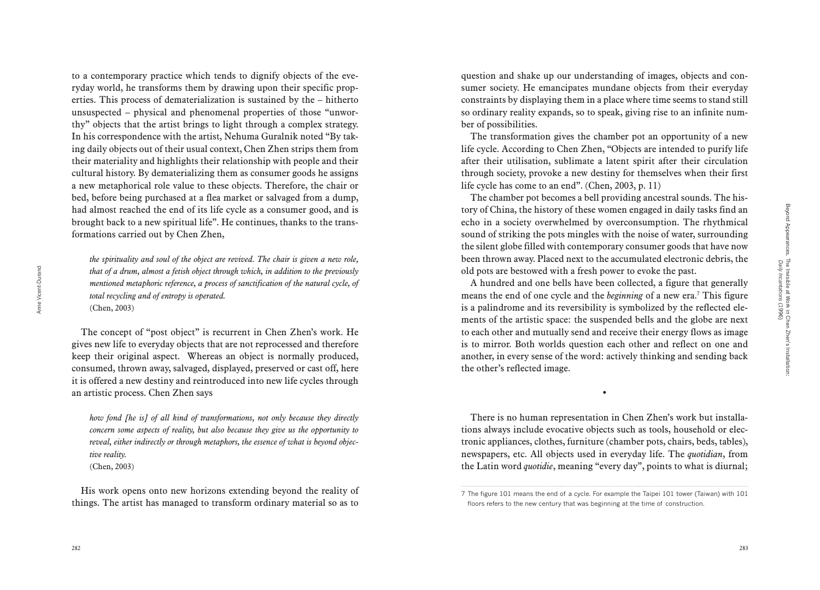to a contemporary practice which tends to dignify objects of the everyday world, he transforms them by drawing upon their specific properties. This process of dematerialization is sustained by the – hitherto unsuspected – physical and phenomenal properties of those "unworthy" objects that the artist brings to light through a complex strategy. In his correspondence with the artist, Nehuma Guralnik noted "By taking daily objects out of their usual context, Chen Zhen strips them from their materiality and highlights their relationship with people and their cultural history. By dematerializing them as consumer goods he assigns a new metaphorical role value to these objects. Therefore, the chair or bed, before being purchased at a flea market or salvaged from a dump, had almost reached the end of its life cycle as a consumer good, and is brought back to a new spiritual life". He continues, thanks to the transformations carried out by Chen Zhen,

*the spirituality and soul of the object are revived. The chair is given a new role, that of a drum, almost a fetish object through which, in addition to the previously mentioned metaphoric reference, a process of sanctification of the natural cycle, of total recycling and of entropy is operated.* (Chen, 2003)

The concept of "post object" is recurrent in Chen Zhen's work. He gives new life to everyday objects that are not reprocessed and therefore keep their original aspect. Whereas an object is normally produced, consumed, thrown away, salvaged, displayed, preserved or cast off, here it is offered a new destiny and reintroduced into new life cycles through an artistic process. Chen Zhen says

*how fond [he is] of all kind of transformations, not only because they directly concern some aspects of reality, but also because they give us the opportunity to reveal, either indirectly or through metaphors, the essence of what is beyond objective reality.*

(Chen, 2003)

His work opens onto new horizons extending beyond the reality of things. The artist has managed to transform ordinary material so as to

question and shake up our understanding of images, objects and consumer society. He emancipates mundane objects from their everyday constraints by displaying them in a place where time seems to stand still so ordinary reality expands, so to speak, giving rise to an infinite number of possibilities.

The transformation gives the chamber pot an opportunity of a new life cycle. According to Chen Zhen, "Objects are intended to purify life after their utilisation, sublimate a latent spirit after their circulation through society, provoke a new destiny for themselves when their first life cycle has come to an end". (Chen, 2003, p. 11)

The chamber pot becomes a bell providing ancestral sounds. The history of China, the history of these women engaged in daily tasks find an echo in a society overwhelmed by overconsumption. The rhythmical sound of striking the pots mingles with the noise of water, surrounding the silent globe filled with contemporary consumer goods that have now been thrown away. Placed next to the accumulated electronic debris, the old pots are bestowed with a fresh power to evoke the past.

A hundred and one bells have been collected, a figure that generally means the end of one cycle and the *beginning* of a new era.7 This figure is a palindrome and its reversibility is symbolized by the reflected elements of the artistic space: the suspended bells and the globe are next to each other and mutually send and receive their energy flows as image is to mirror. Both worlds question each other and reflect on one and another, in every sense of the word: actively thinking and sending back the other's reflected image.

•

There is no human representation in Chen Zhen's work but installations always include evocative objects such as tools, household or electronic appliances, clothes, furniture (chamber pots, chairs, beds, tables), newspapers, etc. All objects used in everyday life. The *quotidian*, from the Latin word *quotidie*, meaning "every day", points to what is diurnal;

<sup>7</sup> The figure 101 means the end of a cycle. For example the Taipei 101 tower (Taiwan) with 101 floors refers to the new century that was beginning at the time of construction.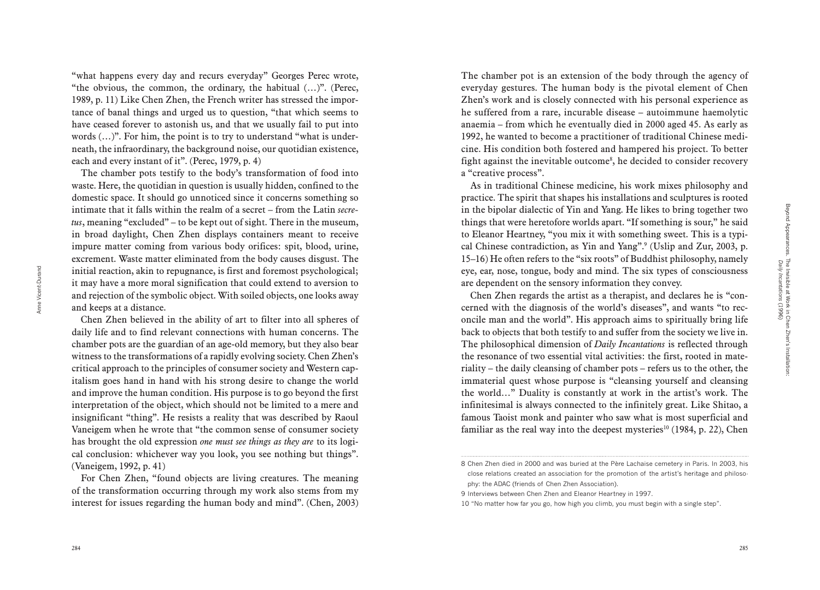Anne Vicent-Durand

Anne Vicent-Durand

"what happens every day and recurs everyday" Georges Perec wrote, "the obvious, the common, the ordinary, the habitual  $(...)$ ". (Perec, 1989, p. 11) Like Chen Zhen, the French writer has stressed the impor tance of banal things and urged us to question, "that which seems to have ceased forever to astonish us, and that we usually fail to put into words (…)". For him, the point is to try to understand "what is under neath, the infraordinary, the background noise, our quotidian existence, each and every instant of it". (Perec, 1979, p. 4)

The chamber pots testify to the body's transformation of food into waste. Here, the quotidian in question is usually hidden, confined to the domestic space. It should go unnoticed since it concerns something so intimate that it falls within the realm of a secret – from the Latin *secre tus*, meaning "excluded" – to be kept out of sight. There in the museum, in broad daylight, Chen Zhen displays containers meant to receive impure matter coming from various body orifices: spit, blood, urine, excrement. Waste matter eliminated from the body causes disgust. The initial reaction, akin to repugnance, is first and foremost psychological; it may have a more moral signification that could extend to aversion to and rejection of the symbolic object. With soiled objects, one looks away and keeps at a distance.

Chen Zhen believed in the ability of art to filter into all spheres of daily life and to find relevant connections with human concerns. The chamber pots are the guardian of an age-old memory, but they also bear witness to the transformations of a rapidly evolving society. Chen Zhen's critical approach to the principles of consumer society and Western cap italism goes hand in hand with his strong desire to change the world and improve the human condition. His purpose is to go beyond the first interpretation of the object, which should not be limited to a mere and insignificant "thing". He resists a reality that was described by Raoul Vaneigem when he wrote that "the common sense of consumer society has brought the old expression *one must see things as they are* to its logi cal conclusion: whichever way you look, you see nothing but things". (Vaneigem, 1992, p. 41)

The chamber pot is an extension of the body through the agency of everyday gestures. The human body is the pivotal element of Chen Zhen's work and is closely connected with his personal experience as he suffered from a rare, incurable disease – autoimmune haemolytic anaemia – from which he eventually died in 2000 aged 45. As early as 1992, he wanted to become a practitioner of traditional Chinese medi cine. His condition both fostered and hampered his project. To better fight against the inevitable outcome 8 , he decided to consider recovery a "creative process".

As in traditional Chinese medicine, his work mixes philosophy and practice. The spirit that shapes his installations and sculptures is rooted in the bipolar dialectic of Yin and Yang. He likes to bring together two things that were heretofore worlds apart. "If something is sour," he said to Eleanor Heartney, "you mix it with something sweet. This is a typi cal Chinese contradiction, as Yin and Yang".<sup>9</sup> (Uslip and Zur, 2003, p. 15–16) He often refers to the "six roots" of Buddhist philosophy, namely eye, ear, nose, tongue, body and mind. The six types of consciousness are dependent on the sensory information they convey.

Chen Zhen regards the artist as a therapist, and declares he is "con cerned with the diagnosis of the world's diseases", and wants "to rec oncile man and the world". His approach aims to spiritually bring life back to objects that both testify to and suffer from the society we live in. The philosophical dimension of *Daily Incantations* is reflected through the resonance of two essential vital activities: the first, rooted in mate riality – the daily cleansing of chamber pots – refers us to the other, the immaterial quest whose purpose is "cleansing yourself and cleansing the world…" Duality is constantly at work in the artist's work. The infinitesimal is always connected to the infinitely great. Like Shitao, a famous Taoist monk and painter who saw what is most superficial and familiar as the real way into the deepest mysteries<sup>10</sup> (1984, p. 22), Chen

For Chen Zhen, "found objects are living creatures. The meaning of the transformation occurring through my work also stems from my interest for issues regarding the human body and mind". (Chen, 2003)

<sup>8</sup> Chen Zhen died in 2000 and was buried at the Père Lachaise cemetery in Paris. In 2003, his close relations created an association for the promotion of the artist 's heritage and philoso phy: the ADAC (friends of Chen Zhen Association).

<sup>9</sup> Interviews between Chen Zhen and Eleanor Heartney in 1997.

<sup>10 &</sup>quot;No matter how far you go, how high you climb, you must begin with a single step".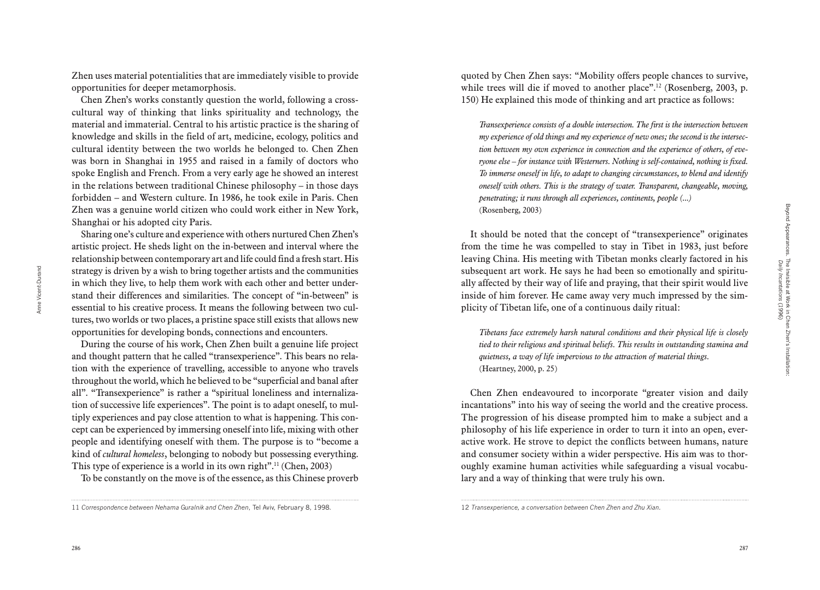Zhen uses material potentialities that are immediately visible to provide opportunities for deeper metamorphosis.

Chen Zhen's works constantly question the world, following a crosscultural way of thinking that links spirituality and technology, the material and immaterial. Central to his artistic practice is the sharing of knowledge and skills in the field of art, medicine, ecology, politics and cultural identity between the two worlds he belonged to. Chen Zhen was born in Shanghai in 1955 and raised in a family of doctors who spoke English and French. From a very early age he showed an interest in the relations between traditional Chinese philosophy – in those days forbidden – and Western culture. In 1986, he took exile in Paris. Chen Zhen was a genuine world citizen who could work either in New York, Shanghai or his adopted city Paris.

Sharing one's culture and experience with others nurtured Chen Zhen's artistic project. He sheds light on the in-between and interval where the relationship between contemporary art and life could find a fresh start. His strategy is driven by a wish to bring together artists and the communities in which they live, to help them work with each other and better understand their differences and similarities. The concept of "in-between" is essential to his creative process. It means the following between two cultures, two worlds or two places, a pristine space still exists that allows new opportunities for developing bonds, connections and encounters.

During the course of his work, Chen Zhen built a genuine life project and thought pattern that he called "transexperience". This bears no relation with the experience of travelling, accessible to anyone who travels throughout the world, which he believed to be "superficial and banal after all". "Transexperience" is rather a "spiritual loneliness and internalization of successive life experiences". The point is to adapt oneself, to multiply experiences and pay close attention to what is happening. This concept can be experienced by immersing oneself into life, mixing with other people and identifying oneself with them. The purpose is to "become a kind of *cultural homeless*, belonging to nobody but possessing everything. This type of experience is a world in its own right".<sup>11</sup> (Chen, 2003)

To be constantly on the move is of the essence, as this Chinese proverb

quoted by Chen Zhen says: "Mobility offers people chances to survive, while trees will die if moved to another place".<sup>12</sup> (Rosenberg, 2003, p. 150) He explained this mode of thinking and art practice as follows:

*Transexperience consists of a double intersection. The first is the intersection between my experience of old things and my experience of new ones; the second is the intersection between my own experience in connection and the experience of others, of everyone else – for instance with Westerners. Nothing is self-contained, nothing is fixed. To immerse oneself in life, to adapt to changing circumstances, to blend and identify oneself with others. This is the strategy of water. Transparent, changeable, moving, penetrating; it runs through all experiences, continents, people (...)* (Rosenberg, 2003)

It should be noted that the concept of "transexperience" originates from the time he was compelled to stay in Tibet in 1983, just before leaving China. His meeting with Tibetan monks clearly factored in his subsequent art work. He says he had been so emotionally and spiritually affected by their way of life and praying, that their spirit would live inside of him forever. He came away very much impressed by the simplicity of Tibetan life, one of a continuous daily ritual:

*Tibetans face extremely harsh natural conditions and their physical life is closely tied to their religious and spiritual beliefs. This results in outstanding stamina and quietness, a way of life impervious to the attraction of material things.* (Heartney, 2000, p. 25)

Chen Zhen endeavoured to incorporate "greater vision and daily incantations" into his way of seeing the world and the creative process. The progression of his disease prompted him to make a subject and a philosophy of his life experience in order to turn it into an open, everactive work. He strove to depict the conflicts between humans, nature and consumer society within a wider perspective. His aim was to thoroughly examine human activities while safeguarding a visual vocabulary and a way of thinking that were truly his own.

Anne Vicent-Durand

<sup>11</sup> *Correspondence between Nehama Guralnik and Chen Zhen*, Tel Aviv, February 8, 1998.

<sup>12</sup> *Transexperience, a conversation between Chen Zhen and Zhu Xian.*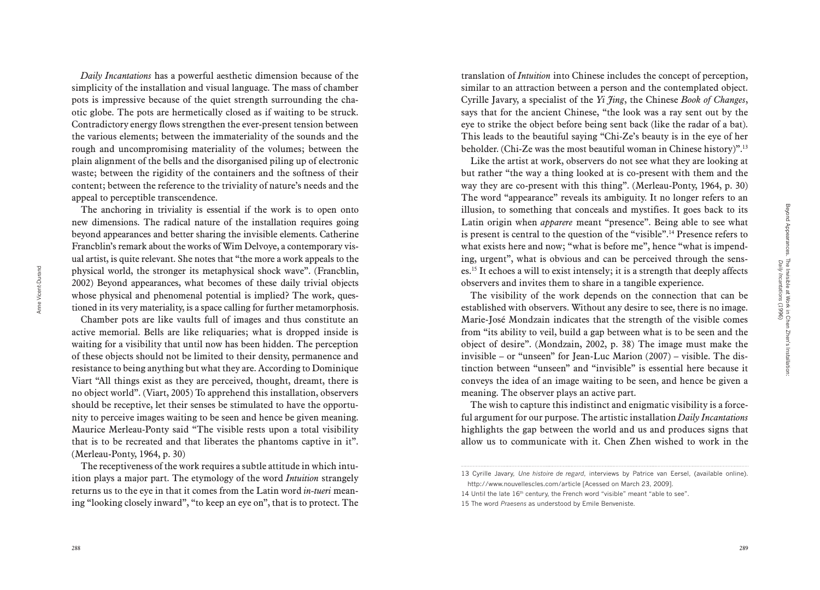*Daily Incantations* has a powerful aesthetic dimension because of the simplicity of the installation and visual language. The mass of chamber pots is impressive because of the quiet strength surrounding the cha otic globe. The pots are hermetically closed as if waiting to be struck. Contradictory energy flows strengthen the ever-present tension between the various elements; between the immateriality of the sounds and the rough and uncompromising materiality of the volumes; between the plain alignment of the bells and the disorganised piling up of electronic waste; between the rigidity of the containers and the softness of their content; between the reference to the triviality of nature's needs and the appeal to perceptible transcendence.

The anchoring in triviality is essential if the work is to open onto new dimensions. The radical nature of the installation requires going beyond appearances and better sharing the invisible elements. Catherine Francblin's remark about the works of Wim Delvoye, a contemporary vis ual artist, is quite relevant. She notes that "the more a work appeals to the physical world, the stronger its metaphysical shock wave". (Francblin, 2002) Beyond appearances, what becomes of these daily trivial objects whose physical and phenomenal potential is implied? The work, ques tioned in its very materiality, is a space calling for further metamorphosis.

Chamber pots are like vaults full of images and thus constitute an active memorial. Bells are like reliquaries; what is dropped inside is waiting for a visibility that until now has been hidden. The perception of these objects should not be limited to their density, permanence and resistance to being anything but what they are. According to Dominique Viart "All things exist as they are perceived, thought, dreamt, there is no object world". (Viart, 2005) To apprehend this installation, observers should be receptive, let their senses be stimulated to have the opportu nity to perceive images waiting to be seen and hence be given meaning. Maurice Merleau-Ponty said "The visible rests upon a total visibility that is to be recreated and that liberates the phantoms captive in it". (Merleau-Ponty, 1964, p. 30)

The receptiveness of the work requires a subtle attitude in which intu ition plays a major part. The etymology of the word *Intuition* strangely returns us to the eye in that it comes from the Latin word *in-tueri* mean ing "looking closely inward", "to keep an eye on", that is to protect. The translation of *Intuition* into Chinese includes the concept of perception, similar to an attraction between a person and the contemplated object. Cyrille Javary, a specialist of the *Yi Jing*, the Chinese *Book of Changes*, says that for the ancient Chinese, "the look was a ray sent out by the eye to strike the object before being sent back (like the radar of a bat). This leads to the beautiful saying "Chi-Ze's beauty is in the eye of her beholder. (Chi-Ze was the most beautiful woman in Chinese history)".13

Like the artist at work, observers do not see what they are looking at but rather "the way a thing looked at is co-present with them and the way they are co-present with this thing". (Merleau-Ponty, 1964, p. 30) The word "appearance" reveals its ambiguity. It no longer refers to an illusion, to something that conceals and mystifies. It goes back to its Latin origin when *apparere* meant "presence". Being able to see what is present is central to the question of the "visible".14 Presence refers to what exists here and now; "what is before me", hence "what is impending, urgent", what is obvious and can be perceived through the sens es.15 It echoes a will to exist intensely; it is a strength that deeply affects observers and invites them to share in a tangible experience.

The visibility of the work depends on the connection that can be established with observers. Without any desire to see, there is no image. Marie-José Mondzain indicates that the strength of the visible comes from "its ability to veil, build a gap between what is to be seen and the object of desire". (Mondzain, 2002, p. 38) The image must make the invisible – or "unseen" for Jean-Luc Marion (2007) – visible. The dis tinction between "unseen" and "invisible" is essential here because it conveys the idea of an image waiting to be seen, and hence be given a meaning. The observer plays an active part.

The wish to capture this indistinct and enigmatic visibility is a force ful argument for our purpose. The artistic installation *Daily Incantations* highlights the gap between the world and us and produces signs that allow us to communicate with it. Chen Zhen wished to work in the

15 The word *Praesens* as understood by Emile Benveniste.

Anne Vicent-Durand

<sup>13</sup> Cyrille Javary, *Une histoire de regard*, interviews by Patrice van Eersel, (available online).

http://www.nouvellescles.com/article [Acessed on March 23, 2009].

<sup>14</sup> Until the late 16<sup>th</sup> century, the French word "visible" meant "able to see".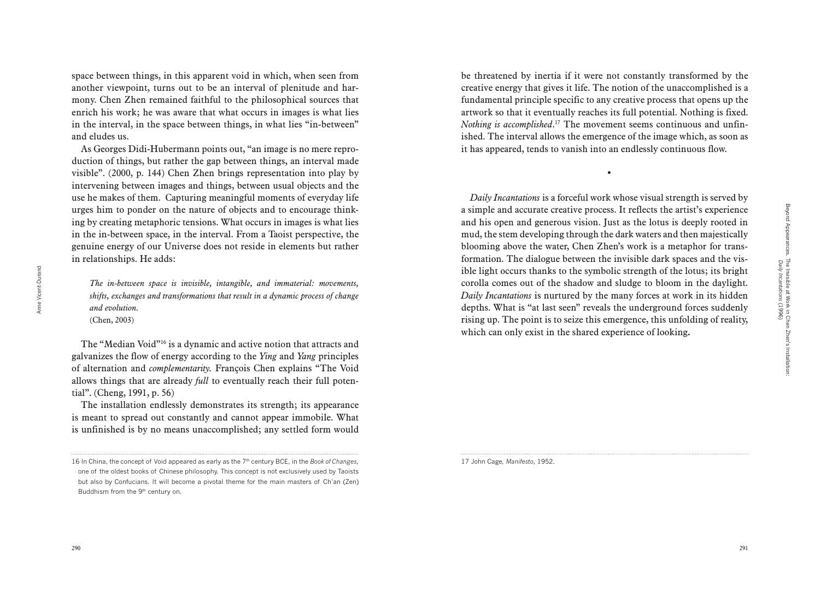space between things, in this apparent void in which, when seen from another viewpoint, turns out to be an interval of plenitude and harmony. Chen Zhen remained faithful to the philosophical sources that enrich his work; he was aware that what occurs in images is what lies in the interval, in the space between things, in what lies "in-between" and eludes us.

As Georges Didi-Hubermann points out, "an image is no mere reproduction of things, but rather the gap between things, an interval made visible". (2000, p. 144) Chen Zhen brings representation into play by intervening between images and things, between usual objects and the use he makes of them. Capturing meaningful moments of everyday life urges him to ponder on the nature of objects and to encourage thinking by creating metaphoric tensions. What occurs in images is what lies in the in-between space, in the interval. From a Taoist perspective, the genuine energy of our Universe does not reside in elements but rather in relationships. He adds:

*The in-between space is invisible, intangible, and immaterial: movements, shifts, exchanges and transformations that result in a dynamic process of change and evolution.*

(Chen, 2003)

The "Median Void"16 is a dynamic and active notion that attracts and galvanizes the flow of energy according to the *Ying* and *Yang* principles of alternation and *complementarity.* François Chen explains "The Void allows things that are already *full* to eventually reach their full potential". (Cheng, 1991, p. 56)

The installation endlessly demonstrates its strength; its appearance is meant to spread out constantly and cannot appear immobile. What is unfinished is by no means unaccomplished; any settled form would

be threatened by inertia if it were not constantly transformed by the creative energy that gives it life. The notion of the unaccomplished is a fundamental principle specific to any creative process that opens up the artwork so that it eventually reaches its full potential. Nothing is fixed. *Nothing is accomplished*. <sup>17</sup> The movement seems continuous and unfinished. The interval allows the emergence of the image which, as soon as it has appeared, tends to vanish into an endlessly continuous flow.

•

*Daily Incantations* is a forceful work whose visual strength is served by a simple and accurate creative process. It reflects the artist's experience and his open and generous vision. Just as the lotus is deeply rooted in mud, the stem developing through the dark waters and then majestically blooming above the water, Chen Zhen's work is a metaphor for transformation. The dialogue between the invisible dark spaces and the visible light occurs thanks to the symbolic strength of the lotus; its bright corolla comes out of the shadow and sludge to bloom in the daylight. *Daily Incantations* is nurtured by the many forces at work in its hidden depths. What is "at last seen" reveals the underground forces suddenly rising up. The point is to seize this emergence, this unfolding of reality, which can only exist in the shared experience of looking**.**

17 John Cage, *Manifesto,* 1952.

*Daily Incantations* (1996)

<sup>16</sup> In China, the concept of Void appeared as early as the 7<sup>th</sup> century BCE, in the *Book of Changes*, one of the oldest books of Chinese philosophy. This concept is not exclusively used by Taoists but also by Confucians. It will become a pivotal theme for the main masters of Ch'an (Zen) Buddhism from the 9th century on.